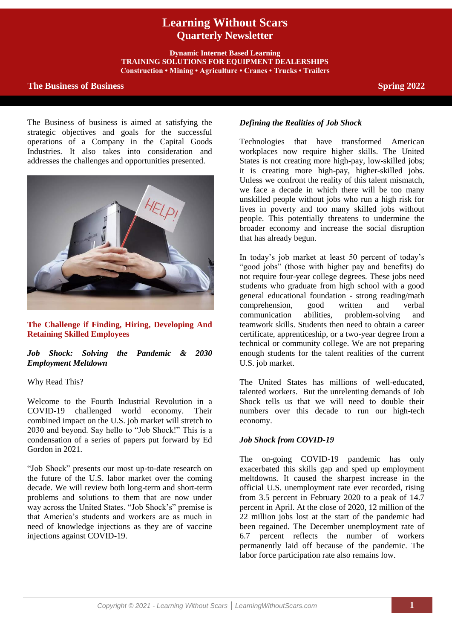# **Learning Without Scars Quarterly Newsletter**

**Dynamic Internet Based Learning TRAINING SOLUTIONS FOR EQUIPMENT DEALERSHIPS Construction • Mining • Agriculture • Cranes • Trucks • Trailers**

# **The Business of Business Spring 2022**

The Business of business is aimed at satisfying the strategic objectives and goals for the successful operations of a Company in the Capital Goods Industries. It also takes into consideration and addresses the challenges and opportunities presented.



**The Challenge if Finding, Hiring, Developing And Retaining Skilled Employees**

# *Job Shock: Solving the Pandemic & 2030 Employment Meltdown*

### Why Read This?

Welcome to the Fourth Industrial Revolution in a COVID-19 challenged world economy. Their combined impact on the U.S. job market will stretch to 2030 and beyond. Say hello to "Job Shock!" This is a condensation of a series of papers put forward by Ed Gordon in 2021.

"Job Shock" presents our most up-to-date research on the future of the U.S. labor market over the coming decade. We will review both long-term and short-term problems and solutions to them that are now under way across the United States. "Job Shock's" premise is that America's students and workers are as much in need of knowledge injections as they are of vaccine injections against COVID-19.

# *Defining the Realities of Job Shock*

Technologies that have transformed American workplaces now require higher skills. The United States is not creating more high-pay, low-skilled jobs; it is creating more high-pay, higher-skilled jobs. Unless we confront the reality of this talent mismatch, we face a decade in which there will be too many unskilled people without jobs who run a high risk for lives in poverty and too many skilled jobs without people. This potentially threatens to undermine the broader economy and increase the social disruption that has already begun.

In today's job market at least 50 percent of today's "good jobs" (those with higher pay and benefits) do not require four-year college degrees. These jobs need students who graduate from high school with a good general educational foundation - strong reading/math comprehension, good written and verbal<br>communication abilities, problem-solving and communication abilities, problem-solving and teamwork skills. Students then need to obtain a career certificate, apprenticeship, or a two-year degree from a technical or community college. We are not preparing enough students for the talent realities of the current U.S. job market.

The United States has millions of well-educated, talented workers. But the unrelenting demands of Job Shock tells us that we will need to double their numbers over this decade to run our high-tech economy.

### *Job Shock from COVID-19*

The on-going COVID-19 pandemic has only exacerbated this skills gap and sped up employment meltdowns. It caused the sharpest increase in the official U.S. unemployment rate ever recorded, rising from 3.5 percent in February 2020 to a peak of 14.7 percent in April. At the close of 2020, 12 million of the 22 million jobs lost at the start of the pandemic had been regained. The December unemployment rate of 6.7 percent reflects the number of workers permanently laid off because of the pandemic. The labor force participation rate also remains low.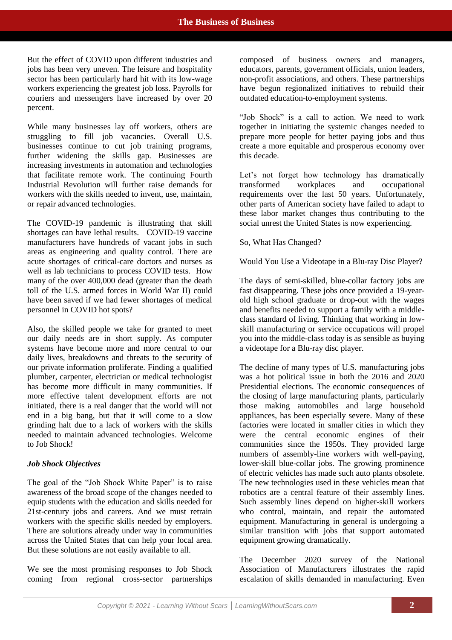But the effect of COVID upon different industries and jobs has been very uneven. The leisure and hospitality sector has been particularly hard hit with its low-wage workers experiencing the greatest job loss. Payrolls for couriers and messengers have increased by over 20 percent.

While many businesses lay off workers, others are struggling to fill job vacancies. Overall U.S. businesses continue to cut job training programs, further widening the skills gap. Businesses are increasing investments in automation and technologies that facilitate remote work. The continuing Fourth Industrial Revolution will further raise demands for workers with the skills needed to invent, use, maintain, or repair advanced technologies.

The COVID-19 pandemic is illustrating that skill shortages can have lethal results. COVID-19 vaccine manufacturers have hundreds of vacant jobs in such areas as engineering and quality control. There are acute shortages of critical-care doctors and nurses as well as lab technicians to process COVID tests. How many of the over 400,000 dead (greater than the death toll of the U.S. armed forces in World War II) could have been saved if we had fewer shortages of medical personnel in COVID hot spots?

Also, the skilled people we take for granted to meet our daily needs are in short supply. As computer systems have become more and more central to our daily lives, breakdowns and threats to the security of our private information proliferate. Finding a qualified plumber, carpenter, electrician or medical technologist has become more difficult in many communities. If more effective talent development efforts are not initiated, there is a real danger that the world will not end in a big bang, but that it will come to a slow grinding halt due to a lack of workers with the skills needed to maintain advanced technologies. Welcome to Job Shock!

### *Job Shock Objectives*

The goal of the "Job Shock White Paper" is to raise awareness of the broad scope of the changes needed to equip students with the education and skills needed for 21st-century jobs and careers. And we must retrain workers with the specific skills needed by employers. There are solutions already under way in communities across the United States that can help your local area. But these solutions are not easily available to all.

We see the most promising responses to Job Shock coming from regional cross-sector partnerships composed of business owners and managers, educators, parents, government officials, union leaders, non-profit associations, and others. These partnerships have begun regionalized initiatives to rebuild their outdated education-to-employment systems.

"Job Shock" is a call to action. We need to work together in initiating the systemic changes needed to prepare more people for better paying jobs and thus create a more equitable and prosperous economy over this decade.

Let's not forget how technology has dramatically transformed workplaces and occupational requirements over the last 50 years. Unfortunately, other parts of American society have failed to adapt to these labor market changes thus contributing to the social unrest the United States is now experiencing.

So, What Has Changed?

Would You Use a Videotape in a Blu-ray Disc Player?

The days of semi-skilled, blue-collar factory jobs are fast disappearing. These jobs once provided a 19-yearold high school graduate or drop-out with the wages and benefits needed to support a family with a middleclass standard of living. Thinking that working in lowskill manufacturing or service occupations will propel you into the middle-class today is as sensible as buying a videotape for a Blu-ray disc player.

The decline of many types of U.S. manufacturing jobs was a hot political issue in both the 2016 and 2020 Presidential elections. The economic consequences of the closing of large manufacturing plants, particularly those making automobiles and large household appliances, has been especially severe. Many of these factories were located in smaller cities in which they were the central economic engines of their communities since the 1950s. They provided large numbers of assembly-line workers with well-paying, lower-skill blue-collar jobs. The growing prominence of electric vehicles has made such auto plants obsolete. The new technologies used in these vehicles mean that robotics are a central feature of their assembly lines. Such assembly lines depend on higher-skill workers who control, maintain, and repair the automated equipment. Manufacturing in general is undergoing a similar transition with jobs that support automated equipment growing dramatically.

The December 2020 survey of the National Association of Manufacturers illustrates the rapid escalation of skills demanded in manufacturing. Even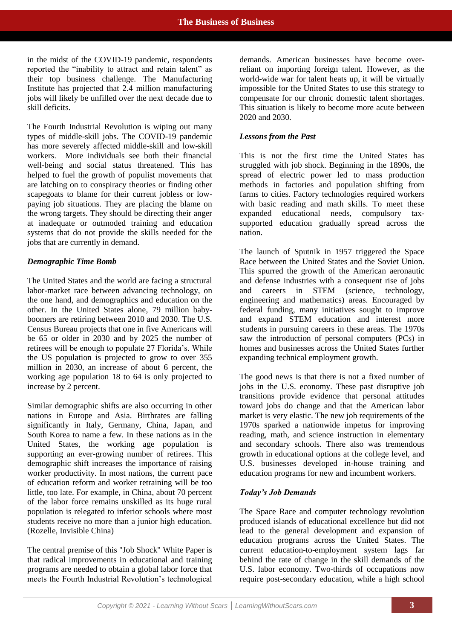in the midst of the COVID-19 pandemic, respondents reported the "inability to attract and retain talent" as their top business challenge. The Manufacturing Institute has projected that 2.4 million manufacturing jobs will likely be unfilled over the next decade due to skill deficits.

The Fourth Industrial Revolution is wiping out many types of middle-skill jobs. The COVID-19 pandemic has more severely affected middle-skill and low-skill workers. More individuals see both their financial well-being and social status threatened. This has helped to fuel the growth of populist movements that are latching on to conspiracy theories or finding other scapegoats to blame for their current jobless or lowpaying job situations. They are placing the blame on the wrong targets. They should be directing their anger at inadequate or outmoded training and education systems that do not provide the skills needed for the jobs that are currently in demand.

### *Demographic Time Bomb*

The United States and the world are facing a structural labor-market race between advancing technology, on the one hand, and demographics and education on the other. In the United States alone, 79 million babyboomers are retiring between 2010 and 2030. The U.S. Census Bureau projects that one in five Americans will be 65 or older in 2030 and by 2025 the number of retirees will be enough to populate 27 Florida's. While the US population is projected to grow to over 355 million in 2030, an increase of about 6 percent, the working age population 18 to 64 is only projected to increase by 2 percent.

Similar demographic shifts are also occurring in other nations in Europe and Asia. Birthrates are falling significantly in Italy, Germany, China, Japan, and South Korea to name a few. In these nations as in the United States, the working age population is supporting an ever-growing number of retirees. This demographic shift increases the importance of raising worker productivity. In most nations, the current pace of education reform and worker retraining will be too little, too late. For example, in China, about 70 percent of the labor force remains unskilled as its huge rural population is relegated to inferior schools where most students receive no more than a junior high education. (Rozelle, Invisible China)

The central premise of this "Job Shock" White Paper is that radical improvements in educational and training programs are needed to obtain a global labor force that meets the Fourth Industrial Revolution's technological

demands. American businesses have become overreliant on importing foreign talent. However, as the world-wide war for talent heats up, it will be virtually impossible for the United States to use this strategy to compensate for our chronic domestic talent shortages. This situation is likely to become more acute between 2020 and 2030.

# *Lessons from the Past*

This is not the first time the United States has struggled with job shock. Beginning in the 1890s, the spread of electric power led to mass production methods in factories and population shifting from farms to cities. Factory technologies required workers with basic reading and math skills. To meet these expanded educational needs, compulsory taxsupported education gradually spread across the nation.

The launch of Sputnik in 1957 triggered the Space Race between the United States and the Soviet Union. This spurred the growth of the American aeronautic and defense industries with a consequent rise of jobs and careers in STEM (science, technology, engineering and mathematics) areas. Encouraged by federal funding, many initiatives sought to improve and expand STEM education and interest more students in pursuing careers in these areas. The 1970s saw the introduction of personal computers (PCs) in homes and businesses across the United States further expanding technical employment growth.

The good news is that there is not a fixed number of jobs in the U.S. economy. These past disruptive job transitions provide evidence that personal attitudes toward jobs do change and that the American labor market is very elastic. The new job requirements of the 1970s sparked a nationwide impetus for improving reading, math, and science instruction in elementary and secondary schools. There also was tremendous growth in educational options at the college level, and U.S. businesses developed in-house training and education programs for new and incumbent workers.

# *Today's Job Demands*

The Space Race and computer technology revolution produced islands of educational excellence but did not lead to the general development and expansion of education programs across the United States. The current education-to-employment system lags far behind the rate of change in the skill demands of the U.S. labor economy. Two-thirds of occupations now require post-secondary education, while a high school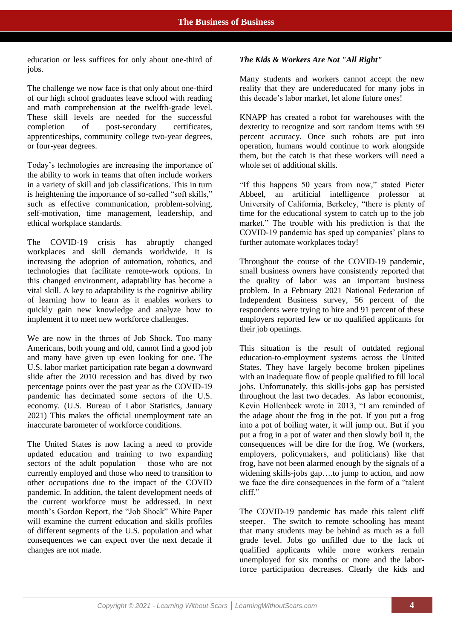education or less suffices for only about one-third of jobs.

The challenge we now face is that only about one-third of our high school graduates leave school with reading and math comprehension at the twelfth-grade level. These skill levels are needed for the successful completion of post-secondary certificates, apprenticeships, community college two-year degrees, or four-year degrees.

Today's technologies are increasing the importance of the ability to work in teams that often include workers in a variety of skill and job classifications. This in turn is heightening the importance of so-called "soft skills," such as effective communication, problem-solving, self-motivation, time management, leadership, and ethical workplace standards.

The COVID-19 crisis has abruptly changed workplaces and skill demands worldwide. It is increasing the adoption of automation, robotics, and technologies that facilitate remote-work options. In this changed environment, adaptability has become a vital skill. A key to adaptability is the cognitive ability of learning how to learn as it enables workers to quickly gain new knowledge and analyze how to implement it to meet new workforce challenges.

We are now in the throes of Job Shock. Too many Americans, both young and old, cannot find a good job and many have given up even looking for one. The U.S. labor market participation rate began a downward slide after the 2010 recession and has dived by two percentage points over the past year as the COVID-19 pandemic has decimated some sectors of the U.S. economy. (U.S. Bureau of Labor Statistics, January 2021) This makes the official unemployment rate an inaccurate barometer of workforce conditions.

The United States is now facing a need to provide updated education and training to two expanding sectors of the adult population – those who are not currently employed and those who need to transition to other occupations due to the impact of the COVID pandemic. In addition, the talent development needs of the current workforce must be addressed. In next month's Gordon Report, the "Job Shock" White Paper will examine the current education and skills profiles of different segments of the U.S. population and what consequences we can expect over the next decade if changes are not made.

# *The Kids & Workers Are Not "All Right"*

Many students and workers cannot accept the new reality that they are undereducated for many jobs in this decade's labor market, let alone future ones!

KNAPP has created a robot for warehouses with the dexterity to recognize and sort random items with 99 percent accuracy. Once such robots are put into operation, humans would continue to work alongside them, but the catch is that these workers will need a whole set of additional skills.

"If this happens 50 years from now," stated Pieter Abbeel, an artificial intelligence professor at University of California, Berkeley, "there is plenty of time for the educational system to catch up to the job market." The trouble with his prediction is that the COVID-19 pandemic has sped up companies' plans to further automate workplaces today!

Throughout the course of the COVID-19 pandemic, small business owners have consistently reported that the quality of labor was an important business problem. In a February 2021 National Federation of Independent Business survey, 56 percent of the respondents were trying to hire and 91 percent of these employers reported few or no qualified applicants for their job openings.

This situation is the result of outdated regional education-to-employment systems across the United States. They have largely become broken pipelines with an inadequate flow of people qualified to fill local jobs. Unfortunately, this skills-jobs gap has persisted throughout the last two decades. As labor economist, Kevin Hollenbeck wrote in 2013, "I am reminded of the adage about the frog in the pot. If you put a frog into a pot of boiling water, it will jump out. But if you put a frog in a pot of water and then slowly boil it, the consequences will be dire for the frog. We (workers, employers, policymakers, and politicians) like that frog, have not been alarmed enough by the signals of a widening skills-jobs gap....to jump to action, and now we face the dire consequences in the form of a "talent cliff."

The COVID-19 pandemic has made this talent cliff steeper. The switch to remote schooling has meant that many students may be behind as much as a full grade level. Jobs go unfilled due to the lack of qualified applicants while more workers remain unemployed for six months or more and the laborforce participation decreases. Clearly the kids and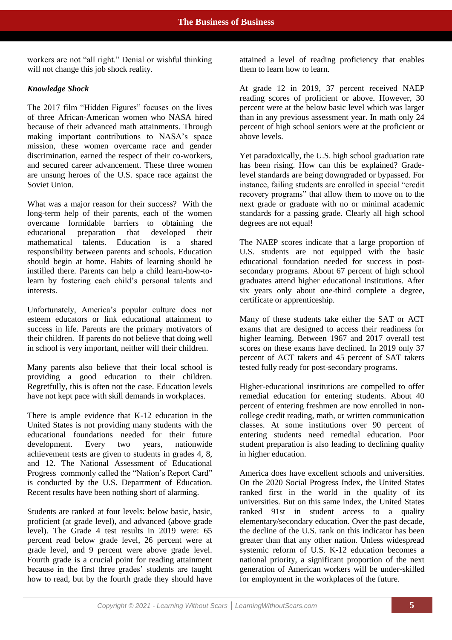workers are not "all right." Denial or wishful thinking will not change this job shock reality.

# *Knowledge Shock*

The 2017 film "Hidden Figures" focuses on the lives of three African-American women who NASA hired because of their advanced math attainments. Through making important contributions to NASA's space mission, these women overcame race and gender discrimination, earned the respect of their co-workers. and secured career advancement. These three women are unsung heroes of the U.S. space race against the Soviet Union.

What was a major reason for their success? With the long-term help of their parents, each of the women overcame formidable barriers to obtaining the educational preparation that developed their mathematical talents. Education is a shared responsibility between parents and schools. Education should begin at home. Habits of learning should be instilled there. Parents can help a child learn-how-tolearn by fostering each child's personal talents and interests.

Unfortunately, America's popular culture does not esteem educators or link educational attainment to success in life. Parents are the primary motivators of their children. If parents do not believe that doing well in school is very important, neither will their children.

Many parents also believe that their local school is providing a good education to their children. Regretfully, this is often not the case. Education levels have not kept pace with skill demands in workplaces.

There is ample evidence that K-12 education in the United States is not providing many students with the educational foundations needed for their future development. Every two years, nationwide achievement tests are given to students in grades 4, 8, and 12. The National Assessment of Educational Progress commonly called the "Nation's Report Card" is conducted by the U.S. Department of Education. Recent results have been nothing short of alarming.

Students are ranked at four levels: below basic, basic, proficient (at grade level), and advanced (above grade level). The Grade 4 test results in 2019 were: 65 percent read below grade level, 26 percent were at grade level, and 9 percent were above grade level. Fourth grade is a crucial point for reading attainment because in the first three grades' students are taught how to read, but by the fourth grade they should have

attained a level of reading proficiency that enables them to learn how to learn.

At grade 12 in 2019, 37 percent received NAEP reading scores of proficient or above. However, 30 percent were at the below basic level which was larger than in any previous assessment year. In math only 24 percent of high school seniors were at the proficient or above levels.

Yet paradoxically, the U.S. high school graduation rate has been rising. How can this be explained? Gradelevel standards are being downgraded or bypassed. For instance, failing students are enrolled in special "credit recovery programs" that allow them to move on to the next grade or graduate with no or minimal academic standards for a passing grade. Clearly all high school degrees are not equal!

The NAEP scores indicate that a large proportion of U.S. students are not equipped with the basic educational foundation needed for success in postsecondary programs. About 67 percent of high school graduates attend higher educational institutions. After six years only about one-third complete a degree, certificate or apprenticeship.

Many of these students take either the SAT or ACT exams that are designed to access their readiness for higher learning. Between 1967 and 2017 overall test scores on these exams have declined. In 2019 only 37 percent of ACT takers and 45 percent of SAT takers tested fully ready for post-secondary programs.

Higher-educational institutions are compelled to offer remedial education for entering students. About 40 percent of entering freshmen are now enrolled in noncollege credit reading, math, or written communication classes. At some institutions over 90 percent of entering students need remedial education. Poor student preparation is also leading to declining quality in higher education.

America does have excellent schools and universities. On the 2020 Social Progress Index, the United States ranked first in the world in the quality of its universities. But on this same index, the United States ranked 91st in student access to a quality elementary/secondary education. Over the past decade, the decline of the U.S. rank on this indicator has been greater than that any other nation. Unless widespread systemic reform of U.S. K-12 education becomes a national priority, a significant proportion of the next generation of American workers will be under-skilled for employment in the workplaces of the future.